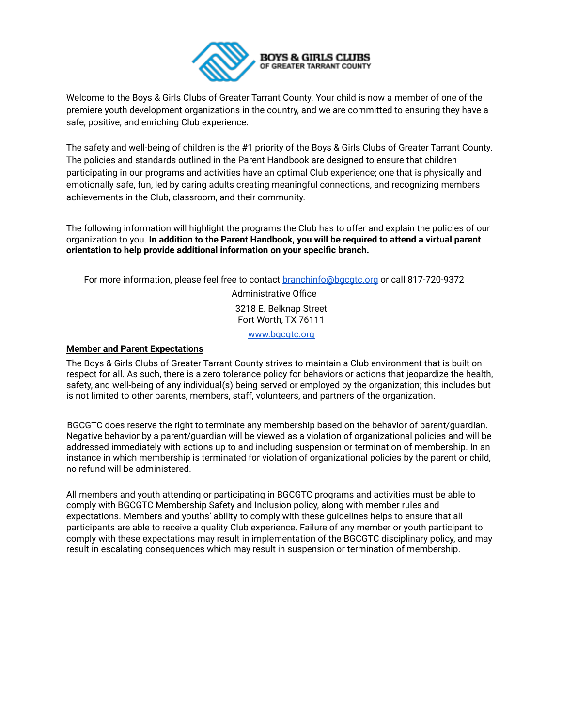

Welcome to the Boys & Girls Clubs of Greater Tarrant County. Your child is now a member of one of the premiere youth development organizations in the country, and we are committed to ensuring they have a safe, positive, and enriching Club experience.

The safety and well-being of children is the #1 priority of the Boys & Girls Clubs of Greater Tarrant County. The policies and standards outlined in the Parent Handbook are designed to ensure that children participating in our programs and activities have an optimal Club experience; one that is physically and emotionally safe, fun, led by caring adults creating meaningful connections, and recognizing members achievements in the Club, classroom, and their community.

The following information will highlight the programs the Club has to offer and explain the policies of our organization to you. **In addition to the Parent Handbook, you will be required to attend a virtual parent orientation to help provide additional information on your specific branch.**

For more information, please feel free to contact branchinfo@bgcgtc.org or call 817-720-9372

Administrative Office 3218 E. Belknap Street Fort Worth, TX 76111

www.bacatc.org

### **Member and Parent Expectations**

The Boys & Girls Clubs of Greater Tarrant County strives to maintain a Club environment that is built on respect for all. As such, there is a zero tolerance policy for behaviors or actions that jeopardize the health, safety, and well-being of any individual(s) being served or employed by the organization; this includes but is not limited to other parents, members, staff, volunteers, and partners of the organization.

BGCGTC does reserve the right to terminate any membership based on the behavior of parent/guardian. Negative behavior by a parent/guardian will be viewed as a violation of organizational policies and will be addressed immediately with actions up to and including suspension or termination of membership. In an instance in which membership is terminated for violation of organizational policies by the parent or child, no refund will be administered.

All members and youth attending or participating in BGCGTC programs and activities must be able to comply with BGCGTC Membership Safety and Inclusion policy, along with member rules and expectations. Members and youths' ability to comply with these guidelines helps to ensure that all participants are able to receive a quality Club experience. Failure of any member or youth participant to comply with these expectations may result in implementation of the BGCGTC disciplinary policy, and may result in escalating consequences which may result in suspension or termination of membership.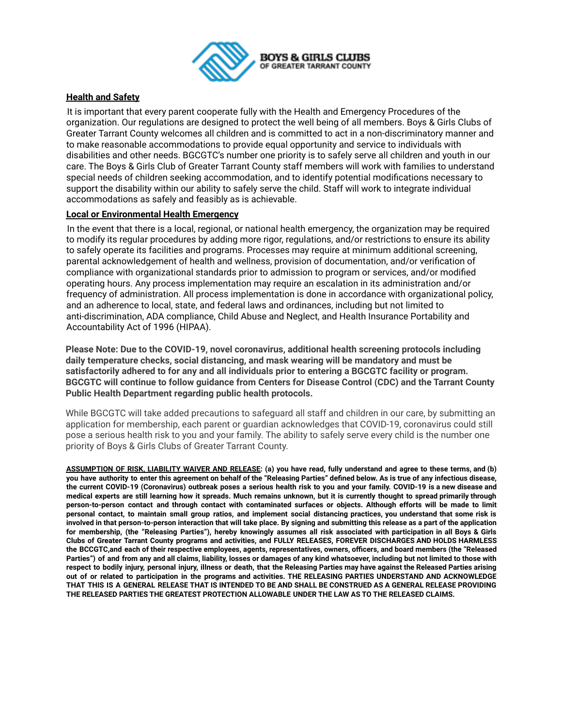

### **Health and Safety**

It is important that every parent cooperate fully with the Health and Emergency Procedures of the organization. Our regulations are designed to protect the well being of all members. Boys & Girls Clubs of Greater Tarrant County welcomes all children and is committed to act in a non-discriminatory manner and to make reasonable accommodations to provide equal opportunity and service to individuals with disabilities and other needs. BGCGTC's number one priority is to safely serve all children and youth in our care. The Boys & Girls Club of Greater Tarrant County staff members will work with families to understand special needs of children seeking accommodation, and to identify potential modifications necessary to support the disability within our ability to safely serve the child. Staff will work to integrate individual accommodations as safely and feasibly as is achievable.

### **Local or Environmental Health Emergency**

In the event that there is a local, regional, or national health emergency, the organization may be required to modify its regular procedures by adding more rigor, regulations, and/or restrictions to ensure its ability to safely operate its facilities and programs. Processes may require at minimum additional screening, parental acknowledgement of health and wellness, provision of documentation, and/or verification of compliance with organizational standards prior to admission to program or services, and/or modified operating hours. Any process implementation may require an escalation in its administration and/or frequency of administration. All process implementation is done in accordance with organizational policy, and an adherence to local, state, and federal laws and ordinances, including but not limited to anti-discrimination, ADA compliance, Child Abuse and Neglect, and Health Insurance Portability and Accountability Act of 1996 (HIPAA).

**Please Note: Due to the COVID-19, novel coronavirus, additional health screening protocols including daily temperature checks, social distancing, and mask wearing will be mandatory and must be satisfactorily adhered to for any and all individuals prior to entering a BGCGTC facility or program. BGCGTC will continue to follow guidance from Centers for Disease Control (CDC) and the Tarrant County Public Health Department regarding public health protocols.**

While BGCGTC will take added precautions to safeguard all staff and children in our care, by submitting an application for membership, each parent or guardian acknowledges that COVID-19, coronavirus could still pose a serious health risk to you and your family. The ability to safely serve every child is the number one priority of Boys & Girls Clubs of Greater Tarrant County.

ASSUMPTION OF RISK, LIABILITY WAIVER AND RELEASE: (a) you have read, fully understand and agree to these terms, and (b) you have authority to enter this agreement on behalf of the "Releasing Parties" defined below. As is true of any infectious disease, the current COVID-19 (Coronavirus) outbreak poses a serious health risk to you and your family. COVID-19 is a new disease and medical experts are still learning how it spreads. Much remains unknown, but it is currently thought to spread primarily through person-to-person contact and through contact with contaminated surfaces or objects. Although efforts will be made to limit personal contact, to maintain small group ratios, and implement social distancing practices, you understand that some risk is involved in that person-to-person interaction that will take place. By signing and submitting this release as a part of the application for membership, (the "Releasing Parties"), hereby knowingly assumes all risk associated with participation in all Boys & Girls Clubs of Greater Tarrant County programs and activities, and FULLY RELEASES, FOREVER DISCHARGES AND HOLDS HARMLESS the BCCGTC, and each of their respective employees, agents, representatives, owners, officers, and board members (the "Released Parties") of and from any and all claims, liability, losses or damages of any kind whatsoever, including but not limited to those with respect to bodily injury, personal injury, illness or death, that the Releasing Parties may have against the Released Parties arising out of or related to participation in the programs and activities. THE RELEASING PARTIES UNDERSTAND AND ACKNOWLEDGE THAT THIS IS A GENERAL RELEASE THAT IS INTENDED TO BE AND SHALL BE CONSTRUED AS A GENERAL RELEASE PROVIDING **THE RELEASED PARTIES THE GREATEST PROTECTION ALLOWABLE UNDER THE LAW AS TO THE RELEASED CLAIMS.**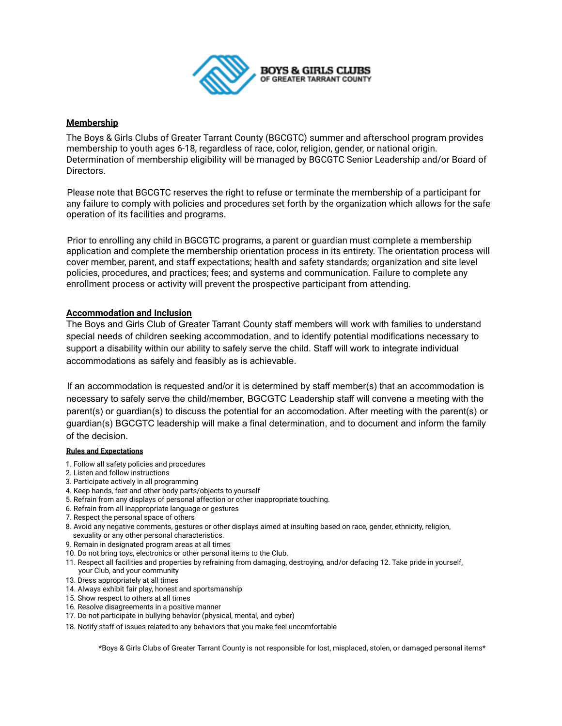

### **Membership**

The Boys & Girls Clubs of Greater Tarrant County (BGCGTC) summer and afterschool program provides membership to youth ages 6-18, regardless of race, color, religion, gender, or national origin. Determination of membership eligibility will be managed by BGCGTC Senior Leadership and/or Board of Directors.

Please note that BGCGTC reserves the right to refuse or terminate the membership of a participant for any failure to comply with policies and procedures set forth by the organization which allows for the safe operation of its facilities and programs.

Prior to enrolling any child in BGCGTC programs, a parent or guardian must complete a membership application and complete the membership orientation process in its entirety. The orientation process will cover member, parent, and staff expectations; health and safety standards; organization and site level policies, procedures, and practices; fees; and systems and communication. Failure to complete any enrollment process or activity will prevent the prospective participant from attending.

### **Accommodation and Inclusion**

The Boys and Girls Club of Greater Tarrant County staff members will work with families to understand special needs of children seeking accommodation, and to identify potential modifications necessary to support a disability within our ability to safely serve the child. Staff will work to integrate individual accommodations as safely and feasibly as is achievable.

If an accommodation is requested and/or it is determined by staff member(s) that an accommodation is necessary to safely serve the child/member, BGCGTC Leadership staff will convene a meeting with the parent(s) or guardian(s) to discuss the potential for an accomodation. After meeting with the parent(s) or guardian(s) BGCGTC leadership will make a final determination, and to document and inform the family of the decision.

#### **Rules and Expectations**

- 1. Follow all safety policies and procedures
- 2. Listen and follow instructions
- 3. Participate actively in all programming
- 4. Keep hands, feet and other body parts/objects to yourself
- 5. Refrain from any displays of personal affection or other inappropriate touching.
- 6. Refrain from all inappropriate language or gestures
- 7. Respect the personal space of others
- 8. Avoid any negative comments, gestures or other displays aimed at insulting based on race, gender, ethnicity, religion, sexuality or any other personal characteristics.
- 9. Remain in designated program areas at all times
- 10. Do not bring toys, electronics or other personal items to the Club.
- 11. Respect all facilities and properties by refraining from damaging, destroying, and/or defacing 12. Take pride in yourself, your Club, and your community
- 13. Dress appropriately at all times
- 14. Always exhibit fair play, honest and sportsmanship
- 15. Show respect to others at all times
- 16. Resolve disagreements in a positive manner
- 17. Do not participate in bullying behavior (physical, mental, and cyber)
- 18. Notify staff of issues related to any behaviors that you make feel uncomfortable

\*Boys & Girls Clubs of Greater Tarrant County is not responsible for lost, misplaced, stolen, or damaged personal items\*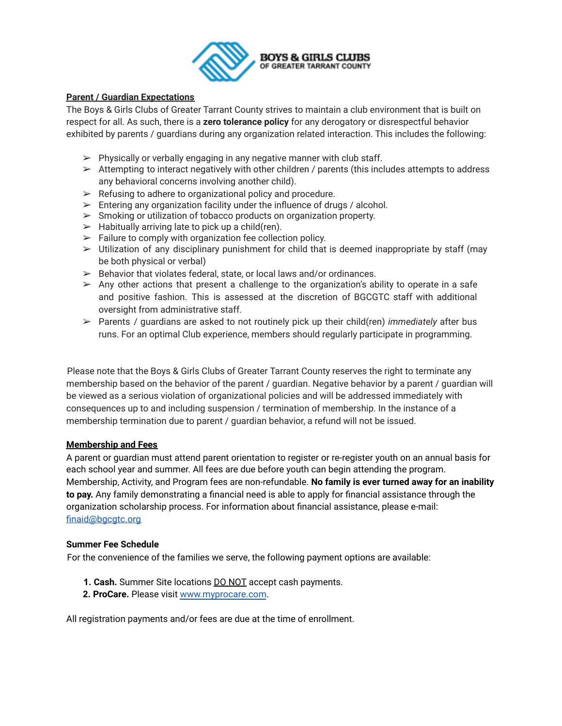

## **Parent / Guardian Expectations**

The Boys & Girls Clubs of Greater Tarrant County strives to maintain a club environment that is built on respect for all. As such, there is a **zero tolerance policy** for any derogatory or disrespectful behavior exhibited by parents / guardians during any organization related interaction. This includes the following:

- $\triangleright$  Physically or verbally engaging in any negative manner with club staff.
- $\triangleright$  Attempting to interact negatively with other children / parents (this includes attempts to address any behavioral concerns involving another child).
- $\triangleright$  Refusing to adhere to organizational policy and procedure.
- $\triangleright$  Entering any organization facility under the influence of drugs / alcohol.
- $\triangleright$  Smoking or utilization of tobacco products on organization property.
- $\triangleright$  Habitually arriving late to pick up a child(ren).
- $\triangleright$  Failure to comply with organization fee collection policy.
- $\triangleright$  Utilization of any disciplinary punishment for child that is deemed inappropriate by staff (may be both physical or verbal)
- $\geq$  Behavior that violates federal, state, or local laws and/or ordinances.
- $\triangleright$  Any other actions that present a challenge to the organization's ability to operate in a safe and positive fashion. This is assessed at the discretion of BGCGTC staff with additional oversight from administrative staff.
- ➢ Parents / guardians are asked to not routinely pick up their child(ren) *immediately* after bus runs. For an optimal Club experience, members should regularly participate in programming.

Please note that the Boys & Girls Clubs of Greater Tarrant County reserves the right to terminate any membership based on the behavior of the parent / guardian. Negative behavior by a parent / guardian will be viewed as a serious violation of organizational policies and will be addressed immediately with consequences up to and including suspension / termination of membership. In the instance of a membership termination due to parent / guardian behavior, a refund will not be issued.

### **Membership and Fees**

A parent or guardian must attend parent orientation to register or re-register youth on an annual basis for each school year and summer. All fees are due before youth can begin attending the program. Membership, Activity, and Program fees are non-refundable. **No family is ever turned away for an inability to pay.** Any family demonstrating a financial need is able to apply for financial assistance through the organization scholarship process. For information about financial assistance, please e-mail: finaid@bgcgtc.org

### **Summer Fee Schedule**

For the convenience of the families we serve, the following payment options are available:

- **1. Cash.** Summer Site locations DO NOT accept cash payments.
- **2. ProCare.** Please visit www.myprocare.com.

All registration payments and/or fees are due at the time of enrollment.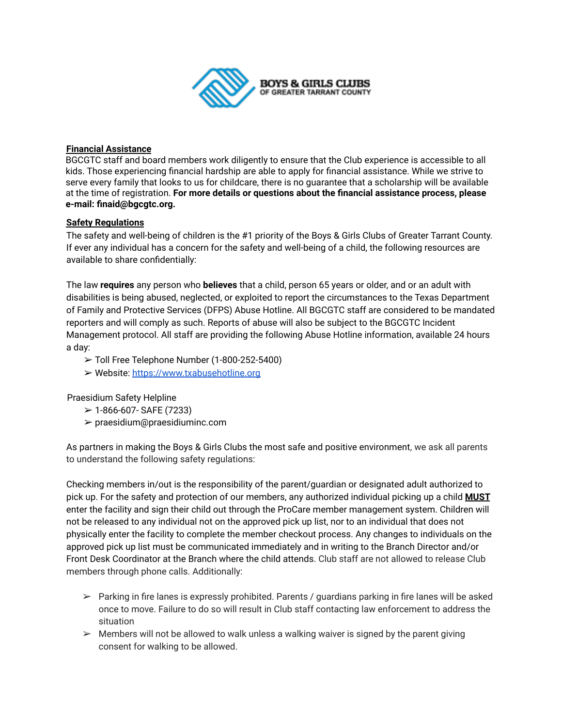

## **Financial Assistance**

BGCGTC staff and board members work diligently to ensure that the Club experience is accessible to all kids. Those experiencing financial hardship are able to apply for financial assistance. While we strive to serve every family that looks to us for childcare, there is no guarantee that a scholarship will be available at the time of registration. **For more details or questions about the financial assistance process, please e-mail: finaid@bgcgtc.org.**

# **Safety Regulations**

The safety and well-being of children is the #1 priority of the Boys & Girls Clubs of Greater Tarrant County. If ever any individual has a concern for the safety and well-being of a child, the following resources are available to share confidentially:

The law **requires** any person who **believes** that a child, person 65 years or older, and or an adult with disabilities is being abused, neglected, or exploited to report the circumstances to the Texas Department of Family and Protective Services (DFPS) Abuse Hotline. All BGCGTC staff are considered to be mandated reporters and will comply as such. Reports of abuse will also be subject to the BGCGTC Incident Management protocol. All staff are providing the following Abuse Hotline information, available 24 hours a day:

- ➢ Toll Free Telephone Number (1-800-252-5400)
- ➢ Website: https://www.txabusehotline.org

Praesidium Safety Helpline

- $>$  1-866-607- SAFE (7233)
- ➢ praesidium@praesidiuminc.com

As partners in making the Boys & Girls Clubs the most safe and positive environment, we ask all parents to understand the following safety regulations:

Checking members in/out is the responsibility of the parent/guardian or designated adult authorized to pick up. For the safety and protection of our members, any authorized individual picking up a child **MUST** enter the facility and sign their child out through the ProCare member management system. Children will not be released to any individual not on the approved pick up list, nor to an individual that does not physically enter the facility to complete the member checkout process. Any changes to individuals on the approved pick up list must be communicated immediately and in writing to the Branch Director and/or Front Desk Coordinator at the Branch where the child attends. Club staff are not allowed to release Club members through phone calls. Additionally:

- $\triangleright$  Parking in fire lanes is expressly prohibited. Parents / guardians parking in fire lanes will be asked once to move. Failure to do so will result in Club staff contacting law enforcement to address the situation
- $\triangleright$  Members will not be allowed to walk unless a walking waiver is signed by the parent giving consent for walking to be allowed.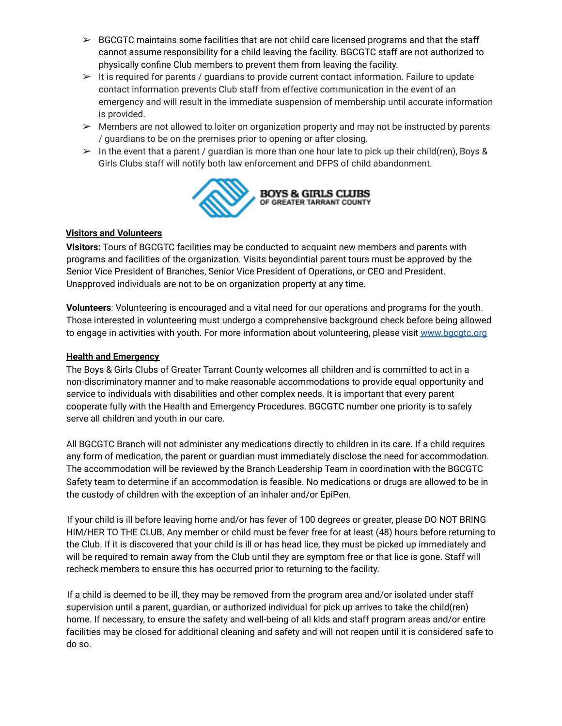- $\triangleright$  BGCGTC maintains some facilities that are not child care licensed programs and that the staff cannot assume responsibility for a child leaving the facility. BGCGTC staff are not authorized to physically confine Club members to prevent them from leaving the facility.
- $\triangleright$  It is required for parents / quardians to provide current contact information. Failure to update contact information prevents Club staff from effective communication in the event of an emergency and will result in the immediate suspension of membership until accurate information is provided.
- $\triangleright$  Members are not allowed to loiter on organization property and may not be instructed by parents / guardians to be on the premises prior to opening or after closing.
- $\triangleright$  In the event that a parent / guardian is more than one hour late to pick up their child(ren), Boys & Girls Clubs staff will notify both law enforcement and DFPS of child abandonment.



# **Visitors and Volunteers**

**Visitors:** Tours of BGCGTC facilities may be conducted to acquaint new members and parents with programs and facilities of the organization. Visits beyondintial parent tours must be approved by the Senior Vice President of Branches, Senior Vice President of Operations, or CEO and President. Unapproved individuals are not to be on organization property at any time.

**Volunteers**: Volunteering is encouraged and a vital need for our operations and programs for the youth. Those interested in volunteering must undergo a comprehensive background check before being allowed to engage in activities with youth. For more information about volunteering, please visit www.bgcgtc.org

# **Health and Emergency**

The Boys & Girls Clubs of Greater Tarrant County welcomes all children and is committed to act in a non-discriminatory manner and to make reasonable accommodations to provide equal opportunity and service to individuals with disabilities and other complex needs. It is important that every parent cooperate fully with the Health and Emergency Procedures. BGCGTC number one priority is to safely serve all children and youth in our care.

All BGCGTC Branch will not administer any medications directly to children in its care. If a child requires any form of medication, the parent or guardian must immediately disclose the need for accommodation. The accommodation will be reviewed by the Branch Leadership Team in coordination with the BGCGTC Safety team to determine if an accommodation is feasible. No medications or drugs are allowed to be in the custody of children with the exception of an inhaler and/or EpiPen.

If your child is ill before leaving home and/or has fever of 100 degrees or greater, please DO NOT BRING HIM/HER TO THE CLUB. Any member or child must be fever free for at least (48) hours before returning to the Club. If it is discovered that your child is ill or has head lice, they must be picked up immediately and will be required to remain away from the Club until they are symptom free or that lice is gone. Staff will recheck members to ensure this has occurred prior to returning to the facility.

If a child is deemed to be ill, they may be removed from the program area and/or isolated under staff supervision until a parent, guardian, or authorized individual for pick up arrives to take the child(ren) home. If necessary, to ensure the safety and well-being of all kids and staff program areas and/or entire facilities may be closed for additional cleaning and safety and will not reopen until it is considered safe to do so.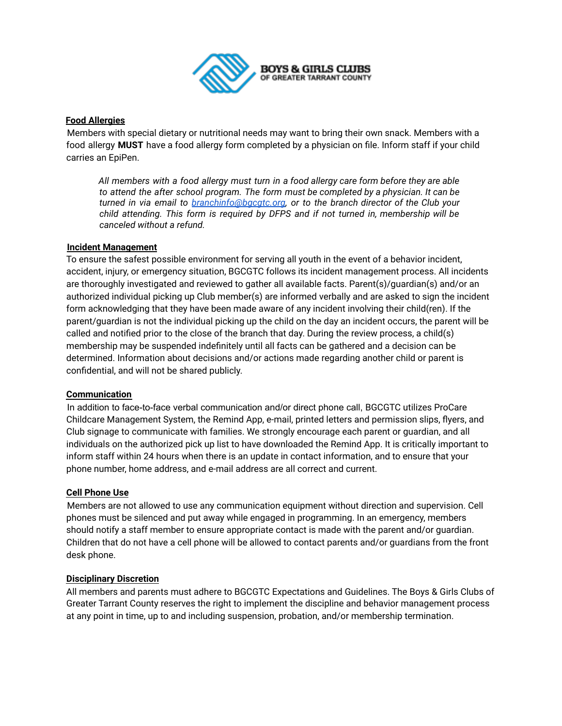

### **Food Allergies**

Members with special dietary or nutritional needs may want to bring their own snack. Members with a food allergy **MUST** have a food allergy form completed by a physician on file. Inform staff if your child carries an EpiPen.

*All members with a food allergy must turn in a food allergy care form before they are able to attend the after school program. The form must be completed by a physician. It can be turned in via email to [branchinfo@bgcgtc.org](mailto:branchinfo@bgcgtc.org), or to the branch director of the Club your child attending. This form is required by DFPS and if not turned in, membership will be canceled without a refund.*

### **Incident Management**

To ensure the safest possible environment for serving all youth in the event of a behavior incident, accident, injury, or emergency situation, BGCGTC follows its incident management process. All incidents are thoroughly investigated and reviewed to gather all available facts. Parent(s)/guardian(s) and/or an authorized individual picking up Club member(s) are informed verbally and are asked to sign the incident form acknowledging that they have been made aware of any incident involving their child(ren). If the parent/guardian is not the individual picking up the child on the day an incident occurs, the parent will be called and notified prior to the close of the branch that day. During the review process, a child(s) membership may be suspended indefinitely until all facts can be gathered and a decision can be determined. Information about decisions and/or actions made regarding another child or parent is confidential, and will not be shared publicly.

### **Communication**

In addition to face-to-face verbal communication and/or direct phone call, BGCGTC utilizes ProCare Childcare Management System, the Remind App, e-mail, printed letters and permission slips, flyers, and Club signage to communicate with families. We strongly encourage each parent or guardian, and all individuals on the authorized pick up list to have downloaded the Remind App. It is critically important to inform staff within 24 hours when there is an update in contact information, and to ensure that your phone number, home address, and e-mail address are all correct and current.

#### **Cell Phone Use**

Members are not allowed to use any communication equipment without direction and supervision. Cell phones must be silenced and put away while engaged in programming. In an emergency, members should notify a staff member to ensure appropriate contact is made with the parent and/or guardian. Children that do not have a cell phone will be allowed to contact parents and/or guardians from the front desk phone.

#### **Disciplinary Discretion**

All members and parents must adhere to BGCGTC Expectations and Guidelines. The Boys & Girls Clubs of Greater Tarrant County reserves the right to implement the discipline and behavior management process at any point in time, up to and including suspension, probation, and/or membership termination.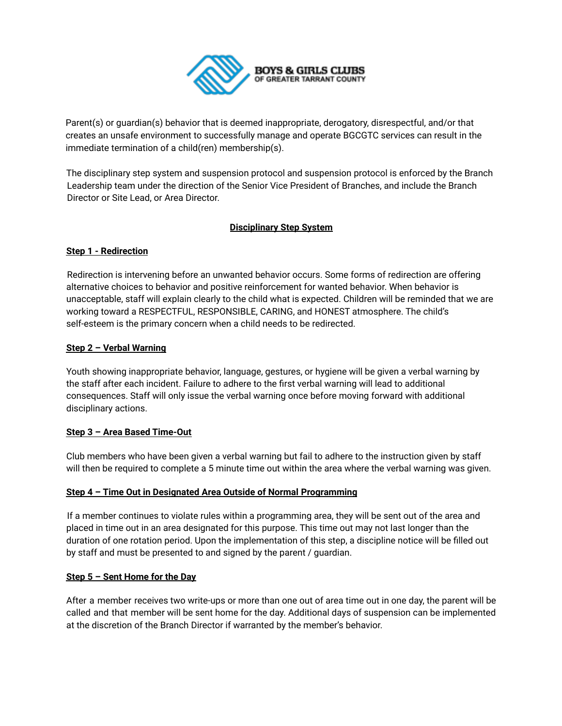

Parent(s) or guardian(s) behavior that is deemed inappropriate, derogatory, disrespectful, and/or that creates an unsafe environment to successfully manage and operate BGCGTC services can result in the immediate termination of a child(ren) membership(s).

The disciplinary step system and suspension protocol and suspension protocol is enforced by the Branch Leadership team under the direction of the Senior Vice President of Branches, and include the Branch Director or Site Lead, or Area Director.

# **Disciplinary Step System**

### **Step 1 - Redirection**

Redirection is intervening before an unwanted behavior occurs. Some forms of redirection are offering alternative choices to behavior and positive reinforcement for wanted behavior. When behavior is unacceptable, staff will explain clearly to the child what is expected. Children will be reminded that we are working toward a RESPECTFUL, RESPONSIBLE, CARING, and HONEST atmosphere. The child's self-esteem is the primary concern when a child needs to be redirected.

### **Step 2 – Verbal Warning**

Youth showing inappropriate behavior, language, gestures, or hygiene will be given a verbal warning by the staff after each incident. Failure to adhere to the first verbal warning will lead to additional consequences. Staff will only issue the verbal warning once before moving forward with additional disciplinary actions.

### **Step 3 – Area Based Time-Out**

Club members who have been given a verbal warning but fail to adhere to the instruction given by staff will then be required to complete a 5 minute time out within the area where the verbal warning was given.

### **Step 4 – Time Out in Designated Area Outside of Normal Programming**

If a member continues to violate rules within a programming area, they will be sent out of the area and placed in time out in an area designated for this purpose. This time out may not last longer than the duration of one rotation period. Upon the implementation of this step, a discipline notice will be filled out by staff and must be presented to and signed by the parent / guardian.

### **Step 5 – Sent Home for the Day**

After a member receives two write-ups or more than one out of area time out in one day, the parent will be called and that member will be sent home for the day. Additional days of suspension can be implemented at the discretion of the Branch Director if warranted by the member's behavior.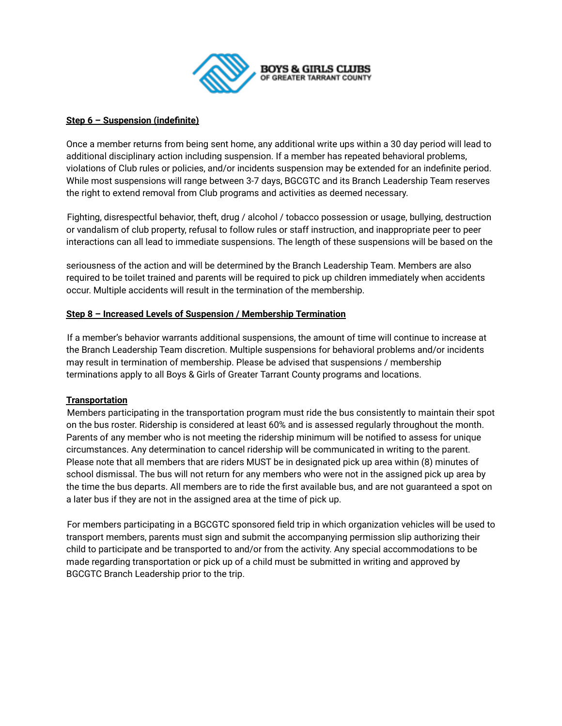

### **Step 6 – Suspension (indefinite)**

Once a member returns from being sent home, any additional write ups within a 30 day period will lead to additional disciplinary action including suspension. If a member has repeated behavioral problems, violations of Club rules or policies, and/or incidents suspension may be extended for an indefinite period. While most suspensions will range between 3-7 days, BGCGTC and its Branch Leadership Team reserves the right to extend removal from Club programs and activities as deemed necessary.

Fighting, disrespectful behavior, theft, drug / alcohol / tobacco possession or usage, bullying, destruction or vandalism of club property, refusal to follow rules or staff instruction, and inappropriate peer to peer interactions can all lead to immediate suspensions. The length of these suspensions will be based on the

seriousness of the action and will be determined by the Branch Leadership Team. Members are also required to be toilet trained and parents will be required to pick up children immediately when accidents occur. Multiple accidents will result in the termination of the membership.

### **Step 8 – Increased Levels of Suspension / Membership Termination**

If a member's behavior warrants additional suspensions, the amount of time will continue to increase at the Branch Leadership Team discretion. Multiple suspensions for behavioral problems and/or incidents may result in termination of membership. Please be advised that suspensions / membership terminations apply to all Boys & Girls of Greater Tarrant County programs and locations.

### **Transportation**

Members participating in the transportation program must ride the bus consistently to maintain their spot on the bus roster. Ridership is considered at least 60% and is assessed regularly throughout the month. Parents of any member who is not meeting the ridership minimum will be notified to assess for unique circumstances. Any determination to cancel ridership will be communicated in writing to the parent. Please note that all members that are riders MUST be in designated pick up area within (8) minutes of school dismissal. The bus will not return for any members who were not in the assigned pick up area by the time the bus departs. All members are to ride the first available bus, and are not guaranteed a spot on a later bus if they are not in the assigned area at the time of pick up.

For members participating in a BGCGTC sponsored field trip in which organization vehicles will be used to transport members, parents must sign and submit the accompanying permission slip authorizing their child to participate and be transported to and/or from the activity. Any special accommodations to be made regarding transportation or pick up of a child must be submitted in writing and approved by BGCGTC Branch Leadership prior to the trip.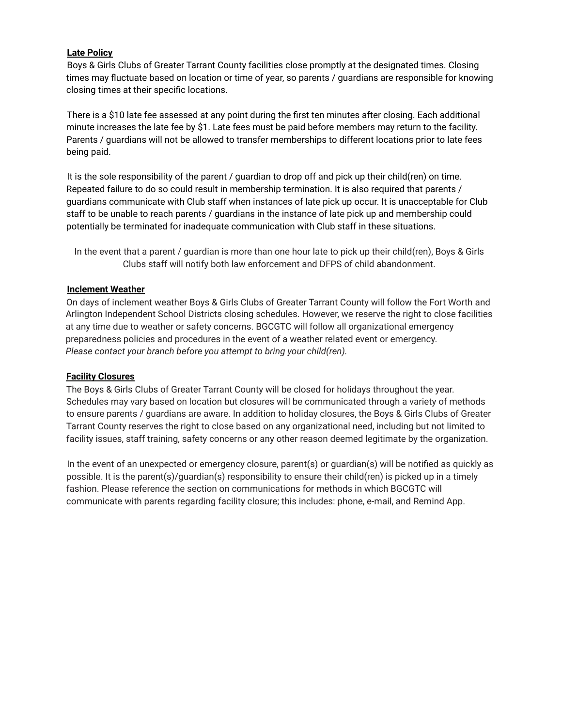## **Late Policy**

Boys & Girls Clubs of Greater Tarrant County facilities close promptly at the designated times. Closing times may fluctuate based on location or time of year, so parents / guardians are responsible for knowing closing times at their specific locations.

There is a \$10 late fee assessed at any point during the first ten minutes after closing. Each additional minute increases the late fee by \$1. Late fees must be paid before members may return to the facility. Parents / guardians will not be allowed to transfer memberships to different locations prior to late fees being paid.

It is the sole responsibility of the parent / guardian to drop off and pick up their child(ren) on time. Repeated failure to do so could result in membership termination. It is also required that parents / guardians communicate with Club staff when instances of late pick up occur. It is unacceptable for Club staff to be unable to reach parents / guardians in the instance of late pick up and membership could potentially be terminated for inadequate communication with Club staff in these situations.

In the event that a parent / guardian is more than one hour late to pick up their child(ren), Boys & Girls Clubs staff will notify both law enforcement and DFPS of child abandonment.

### **Inclement Weather**

On days of inclement weather Boys & Girls Clubs of Greater Tarrant County will follow the Fort Worth and Arlington Independent School Districts closing schedules. However, we reserve the right to close facilities at any time due to weather or safety concerns. BGCGTC will follow all organizational emergency preparedness policies and procedures in the event of a weather related event or emergency. *Please contact your branch before you attempt to bring your child(ren).*

### **Facility Closures**

The Boys & Girls Clubs of Greater Tarrant County will be closed for holidays throughout the year. Schedules may vary based on location but closures will be communicated through a variety of methods to ensure parents / guardians are aware. In addition to holiday closures, the Boys & Girls Clubs of Greater Tarrant County reserves the right to close based on any organizational need, including but not limited to facility issues, staff training, safety concerns or any other reason deemed legitimate by the organization.

In the event of an unexpected or emergency closure, parent(s) or guardian(s) will be notified as quickly as possible. It is the parent(s)/guardian(s) responsibility to ensure their child(ren) is picked up in a timely fashion. Please reference the section on communications for methods in which BGCGTC will communicate with parents regarding facility closure; this includes: phone, e-mail, and Remind App.